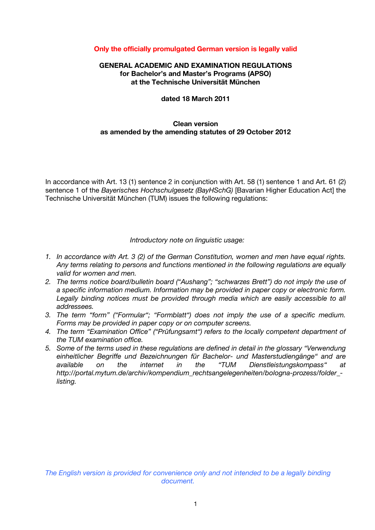# **Only the officially promulgated German version is legally valid**

## **GENERAL ACADEMIC AND EXAMINATION REGULATIONS for Bachelor's and Master's Programs (APSO) at the Technische Universität München**

#### **dated 18 March 2011**

# **Clean version as amended by the amending statutes of 29 October 2012**

In accordance with Art. 13 (1) sentence 2 in conjunction with Art. 58 (1) sentence 1 and Art. 61 (2) sentence 1 of the *Bayerisches Hochschulgesetz (BayHSchG)* [Bavarian Higher Education Act] the Technische Universität München (TUM) issues the following regulations:

*Introductory note on linguistic usage:*

- *1. In accordance with Art. 3 (2) of the German Constitution, women and men have equal rights. Any terms relating to persons and functions mentioned in the following regulations are equally valid for women and men.*
- *2. The terms notice board/bulletin board ("Aushang"; "schwarzes Brett") do not imply the use of a specific information medium. Information may be provided in paper copy or electronic form.*  Legally binding notices must be provided through media which are easily accessible to all *addressees.*
- *3. The term "form" ("Formular"; "Formblatt") does not imply the use of a specific medium. Forms may be provided in paper copy or on computer screens.*
- *4. The term "Examination Office" ("Prüfungsamt") refers to the locally competent department of the TUM examination office.*
- *5. Some of the terms used in these regulations are defined in detail in the glossary "Verwendung einheitlicher Begriffe und Bezeichnungen für Bachelor- und Masterstudiengänge" and are available on the internet in the "TUM Dienstleistungskompass" at http://portal.mytum.de/archiv/kompendium\_rechtsangelegenheiten/bologna-prozess/folder\_ listing.*

*The English version is provided for convenience only and not intended to be a legally binding document.*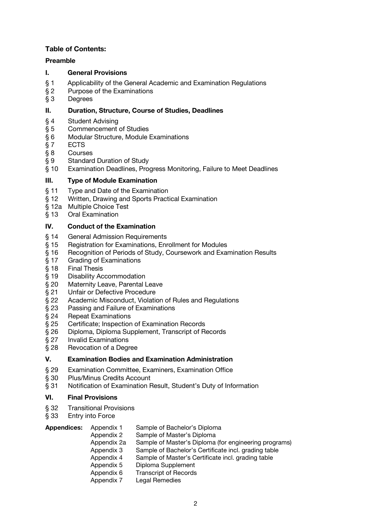# **Table of Contents:**

# **Preamble**

## **I. General Provisions**

- § 1 Applicability of the General Academic and Examination Regulations
- § 2 Purpose of the Examinations
- § 3 Degrees

## **II. Duration, Structure, Course of Studies, Deadlines**

- § 4 Student Advising
- § 5 Commencement of Studies
- § 6 Modular Structure, Module Examinations
- § 7 ECTS
- § 8 Courses
- 
- § 9 Standard Duration of Study<br>§ 10 Examination Deadlines, Prog Examination Deadlines, Progress Monitoring, Failure to Meet Deadlines

## **III. Type of Module Examination**

- § 11 Type and Date of the Examination
- § 12 Written, Drawing and Sports Practical Examination
- § 12a Multiple Choice Test
- § 13 Oral Examination

## **IV. Conduct of the Examination**

- § 14 General Admission Requirements
- § 15 Registration for Examinations, Enrollment for Modules
- § 16 Recognition of Periods of Study, Coursework and Examination Results
- § 17 Grading of Examinations
- § 18 Final Thesis
- § 19 Disability Accommodation
- § 20 Maternity Leave, Parental Leave
- § 21 Unfair or Defective Procedure
- § 22 Academic Misconduct, Violation of Rules and Regulations
- § 23 Passing and Failure of Examinations
- § 24 Repeat Examinations
- § 25 Certificate; Inspection of Examination Records
- § 26 Diploma, Diploma Supplement, Transcript of Records
- § 27 Invalid Examinations
- § 28 Revocation of a Degree

#### **V. Examination Bodies and Examination Administration**

- § 29 Examination Committee, Examiners, Examination Office
- § 30 Plus/Minus Credits Account
- § 31 Notification of Examination Result, Student's Duty of Information

#### **VI. Final Provisions**

- § 32 Transitional Provisions
- § 33 Entry into Force

| <b>Appendices:</b> | Appendix 1 | Sample of Bachelor's Diploma |
|--------------------|------------|------------------------------|
|--------------------|------------|------------------------------|

- Appendix 2 Sample of Master's Diploma
- Appendix 2a Sample of Master's Diploma (for engineering programs)
- Appendix 3 Sample of Bachelor's Certificate incl. grading table
- Appendix 4 Sample of Master's Certificate incl. grading table
	- Appendix 5 Diploma Supplement
	- Appendix 6 Transcript of Records
- Appendix 7 Legal Remedies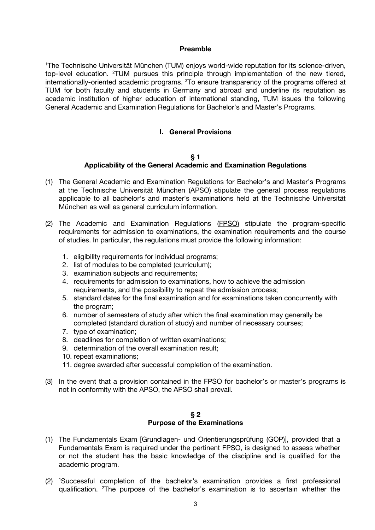#### **Preamble**

1 The Technische Universität München (TUM) enjoys world-wide reputation for its science-driven, top-level education. <sup>2</sup>TUM pursues this principle through implementation of the new tiered, internationally-oriented academic programs. <sup>3</sup>To ensure transparency of the programs offered at TUM for both faculty and students in Germany and abroad and underline its reputation as academic institution of higher education of international standing, TUM issues the following General Academic and Examination Regulations for Bachelor's and Master's Programs.

# **I. General Provisions**

#### **§ 1**

# **Applicability of the General Academic and Examination Regulations**

- (1) The General Academic and Examination Regulations for Bachelor's and Master's Programs at the Technische Universität München (APSO) stipulate the general process regulations applicable to all bachelor's and master's examinations held at the Technische Universität München as well as general curriculum information.
- (2) The Academic and Examination Regulations (FPSO) stipulate the program-specific requirements for admission to examinations, the examination requirements and the course of studies. In particular, the regulations must provide the following information:
	- 1. eligibility requirements for individual programs;
	- 2. list of modules to be completed (curriculum);
	- 3. examination subjects and requirements;
	- 4. requirements for admission to examinations, how to achieve the admission requirements, and the possibility to repeat the admission process;
	- 5. standard dates for the final examination and for examinations taken concurrently with the program;
	- 6. number of semesters of study after which the final examination may generally be completed (standard duration of study) and number of necessary courses;
	- 7. type of examination;
	- 8. deadlines for completion of written examinations;
	- 9. determination of the overall examination result;
	- 10. repeat examinations;
	- 11. degree awarded after successful completion of the examination.
- (3) In the event that a provision contained in the FPSO for bachelor's or master's programs is not in conformity with the APSO, the APSO shall prevail.

#### **§ 2 Purpose of the Examinations**

- (1) The Fundamentals Exam [Grundlagen- und Orientierungsprüfung (GOP)], provided that a Fundamentals Exam is required under the pertinent FPSO, is designed to assess whether or not the student has the basic knowledge of the discipline and is qualified for the academic program.
- (2) <sup>1</sup> Successful completion of the bachelor's examination provides a first professional qualification. <sup>2</sup>The purpose of the bachelor's examination is to ascertain whether the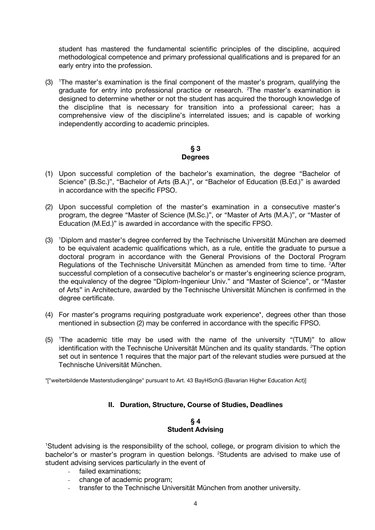student has mastered the fundamental scientific principles of the discipline, acquired methodological competence and primary professional qualifications and is prepared for an early entry into the profession.

(3) <sup>1</sup> The master's examination is the final component of the master's program, qualifying the graduate for entry into professional practice or research. <sup>2</sup>The master's examination is designed to determine whether or not the student has acquired the thorough knowledge of the discipline that is necessary for transition into a professional career; has a comprehensive view of the discipline's interrelated issues; and is capable of working independently according to academic principles.

# **§ 3 Degrees**

- (1) Upon successful completion of the bachelor's examination, the degree "Bachelor of Science" (B.Sc.)", "Bachelor of Arts (B.A.)", or "Bachelor of Education (B.Ed.)" is awarded in accordance with the specific FPSO.
- (2) Upon successful completion of the master's examination in a consecutive master's program, the degree "Master of Science (M.Sc.)", or "Master of Arts (M.A.)", or "Master of Education (M.Ed.)" is awarded in accordance with the specific FPSO.
- (3) <sup>1</sup>Diplom and master's degree conferred by the Technische Universität München are deemed to be equivalent academic qualifications which, as a rule, entitle the graduate to pursue a doctoral program in accordance with the General Provisions of the Doctoral Program Regulations of the Technische Universität München as amended from time to time. <sup>2</sup>After successful completion of a consecutive bachelor's or master's engineering science program, the equivalency of the degree "Diplom-Ingenieur Univ." and "Master of Science", or "Master of Arts" in Architecture, awarded by the Technische Universität München is confirmed in the degree certificate.
- (4) For master's programs requiring postgraduate work experience\*, degrees other than those mentioned in subsection (2) may be conferred in accordance with the specific FPSO.
- (5) <sup>1</sup> The academic title may be used with the name of the university "(TUM)" to allow identification with the Technische Universität München and its quality standards. <sup>2</sup>The option set out in sentence 1 requires that the major part of the relevant studies were pursued at the Technische Universität München.

\*["weiterbildende Masterstudiengänge" pursuant to Art. 43 BayHSchG (Bavarian Higher Education Act)]

# **II. Duration, Structure, Course of Studies, Deadlines**

## **§ 4 Student Advising**

<sup>1</sup>Student advising is the responsibility of the school, college, or program division to which the bachelor's or master's program in question belongs. <sup>2</sup>Students are advised to make use of student advising services particularly in the event of

- failed examinations;
- change of academic program;
- transfer to the Technische Universität München from another university.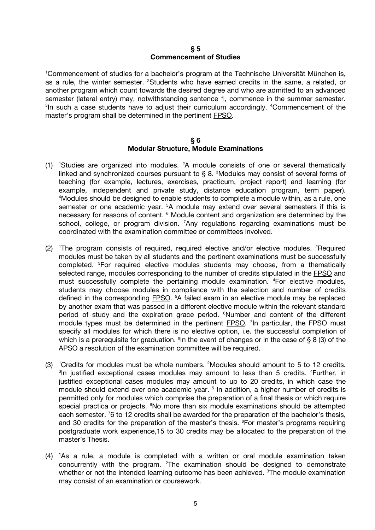#### **§ 5 Commencement of Studies**

1 Commencement of studies for a bachelor's program at the Technische Universität München is, as a rule, the winter semester. <sup>2</sup>Students who have earned credits in the same, a related, or another program which count towards the desired degree and who are admitted to an advanced semester (lateral entry) may, notwithstanding sentence 1, commence in the summer semester. <sup>3</sup>In such a case students have to adjust their curriculum accordingly. <sup>4</sup>Commencement of the master's program shall be determined in the pertinent FPSO.

#### **§ 6 Modular Structure, Module Examinations**

- (1) <sup>1</sup>Studies are organized into modules. <sup>2</sup>A module consists of one or several thematically linked and synchronized courses pursuant to  $\S 8$ .  ${}^{3}$ Modules may consist of several forms of teaching (for example, lectures, exercises, practicum, project report) and learning (for example, independent and private study, distance education program, term paper). 4 Modules should be designed to enable students to complete a module within, as a rule, one semester or one academic year. <sup>5</sup>A module may extend over several semesters if this is necessary for reasons of content. <sup>6</sup> Module content and organization are determined by the school, college, or program division. <sup>7</sup>Any regulations regarding examinations must be coordinated with the examination committee or committees involved.
- (2) <sup>1</sup>The program consists of required, required elective and/or elective modules. <sup>2</sup>Required modules must be taken by all students and the pertinent examinations must be successfully completed. 3 For required elective modules students may choose, from a thematically selected range, modules corresponding to the number of credits stipulated in the FPSO and must successfully complete the pertaining module examination. <sup>4</sup>For elective modules, students may choose modules in compliance with the selection and number of credits defined in the corresponding **FPSO**.<sup>5</sup>A failed exam in an elective module may be replaced by another exam that was passed in a different elective module within the relevant standard period of study and the expiration grace period. <sup>6</sup>Number and content of the different module types must be determined in the pertinent FPSO.<sup>7</sup> In particular, the FPSO must specify all modules for which there is no elective option, i.e. the successful completion of which is a prerequisite for graduation. <sup>8</sup> In the event of changes or in the case of  $\S$  8 (3) of the APSO a resolution of the examination committee will be required.
- $(3)$  <sup>1</sup>Credits for modules must be whole numbers. <sup>2</sup>Modules should amount to 5 to 12 credits. <sup>3</sup>In justified exceptional cases modules may amount to less than 5 credits. <sup>4</sup>Further, in justified exceptional cases modules may amount to up to 20 credits, in which case the module should extend over one academic year.<sup>5</sup> In addition, a higher number of credits is permitted only for modules which comprise the preparation of a final thesis or which require special practica or projects. <sup>6</sup>No more than six module examinations should be attempted each semester. <sup>7</sup>6 to 12 credits shall be awarded for the preparation of the bachelor's thesis, and 30 credits for the preparation of the master's thesis. <sup>8</sup>For master's programs requiring postgraduate work experience,15 to 30 credits may be allocated to the preparation of the master's Thesis.
- (4) <sup>1</sup> As a rule, a module is completed with a written or oral module examination taken concurrently with the program. <sup>2</sup>The examination should be designed to demonstrate whether or not the intended learning outcome has been achieved. <sup>3</sup>The module examination may consist of an examination or coursework.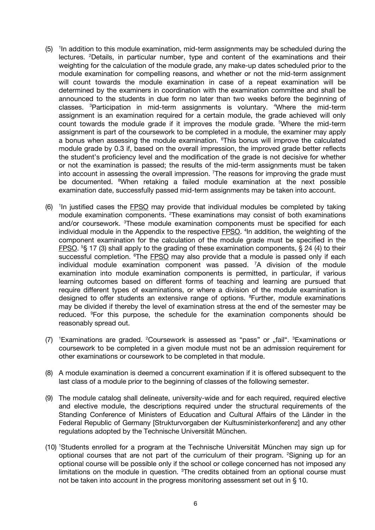- $(5)$ <sup>1</sup> In addition to this module examination, mid-term assignments may be scheduled during the lectures. <sup>2</sup>Details, in particular number, type and content of the examinations and their weighting for the calculation of the module grade, any make-up dates scheduled prior to the module examination for compelling reasons, and whether or not the mid-term assignment will count towards the module examination in case of a repeat examination will be determined by the examiners in coordination with the examination committee and shall be announced to the students in due form no later than two weeks before the beginning of classes. <sup>3</sup>Participation in mid-term assignments is voluntary. <sup>4</sup>Where the mid-term assignment is an examination required for a certain module, the grade achieved will only count towards the module grade if it improves the module grade. <sup>5</sup>Where the mid-term assignment is part of the coursework to be completed in a module, the examiner may apply a bonus when assessing the module examination. <sup>6</sup>This bonus will improve the calculated module grade by 0.3 if, based on the overall impression, the improved grade better reflects the student's proficiency level and the modification of the grade is not decisive for whether or not the examination is passed; the results of the mid-term assignments must be taken into account in assessing the overall impression. <sup>7</sup>The reasons for improving the grade must be documented. <sup>8</sup>When retaking a failed module examination at the next possible examination date, successfully passed mid-term assignments may be taken into account.
- $(6)$ <sup>1</sup>In justified cases the **FPSO** may provide that individual modules be completed by taking module examination components. <sup>2</sup>These examinations may consist of both examinations and/or coursework. <sup>3</sup>These module examination components must be specified for each individual module in the Appendix to the respective **FPSO**. <sup>4</sup>In addition, the weighting of the component examination for the calculation of the module grade must be specified in the FPSO. <sup>5</sup>§ 17 (3) shall apply to the grading of these examination components, § 24 (4) to their successful completion. <sup>6</sup>The **FPSO** may also provide that a module is passed only if each individual module examination component was passed. 7 A division of the module examination into module examination components is permitted, in particular, if various learning outcomes based on different forms of teaching and learning are pursued that require different types of examinations, or where a division of the module examination is designed to offer students an extensive range of options. <sup>8</sup>Further, module examinations may be divided if thereby the level of examination stress at the end of the semester may be reduced. <sup>9</sup>For this purpose, the schedule for the examination components should be reasonably spread out.
- (7) <sup>1</sup>Examinations are graded. <sup>2</sup>Coursework is assessed as "pass" or "fail". <sup>3</sup>Examinations or coursework to be completed in a given module must not be an admission requirement for other examinations or coursework to be completed in that module.
- (8) A module examination is deemed a concurrent examination if it is offered subsequent to the last class of a module prior to the beginning of classes of the following semester.
- (9) The module catalog shall delineate, university-wide and for each required, required elective and elective module, the descriptions required under the structural requirements of the Standing Conference of Ministers of Education and Cultural Affairs of the Länder in the Federal Republic of Germany [Strukturvorgaben der Kultusministerkonferenz] and any other regulations adopted by the Technische Universität München.
- (10) <sup>1</sup> Students enrolled for a program at the Technische Universität München may sign up for optional courses that are not part of the curriculum of their program. <sup>2</sup>Signing up for an optional course will be possible only if the school or college concerned has not imposed any limitations on the module in question. <sup>3</sup>The credits obtained from an optional course must not be taken into account in the progress monitoring assessment set out in § 10.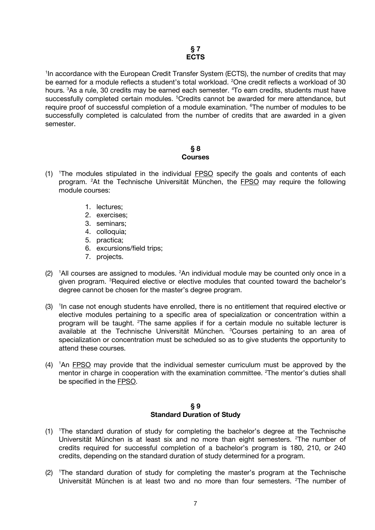<sup>1</sup>In accordance with the European Credit Transfer System (ECTS), the number of credits that may be earned for a module reflects a student's total workload. <sup>2</sup>One credit reflects a workload of 30 hours. <sup>3</sup>As a rule, 30 credits may be earned each semester. <sup>4</sup>To earn credits, students must have successfully completed certain modules. <sup>5</sup>Credits cannot be awarded for mere attendance, but require proof of successful completion of a module examination. <sup>6</sup>The number of modules to be successfully completed is calculated from the number of credits that are awarded in a given semester.

## **§ 8 Courses**

- $(1)$  The modules stipulated in the individual  $FPSO$  specify the goals and contents of each program. <sup>2</sup>At the Technische Universität München, the FPSO may require the following module courses:
	- 1. lectures;
	- 2. exercises;
	- 3. seminars;
	- 4. colloquia;
	- 5. practica;
	- 6. excursions/field trips;
	- 7. projects.
- $(2)$ <sup>1</sup>All courses are assigned to modules. <sup>2</sup>An individual module may be counted only once in a given program. <sup>3</sup>Required elective or elective modules that counted toward the bachelor's degree cannot be chosen for the master's degree program.
- (3) <sup>1</sup>In case not enough students have enrolled, there is no entitlement that required elective or elective modules pertaining to a specific area of specialization or concentration within a program will be taught. <sup>2</sup>The same applies if for a certain module no suitable lecturer is available at the Technische Universität München. <sup>3</sup>Courses pertaining to an area of specialization or concentration must be scheduled so as to give students the opportunity to attend these courses.
- (4) <sup>1</sup>An FPSO may provide that the individual semester curriculum must be approved by the mentor in charge in cooperation with the examination committee. <sup>2</sup>The mentor's duties shall be specified in the FPSO.

# **§ 9 Standard Duration of Study**

- (1) <sup>1</sup> The standard duration of study for completing the bachelor's degree at the Technische Universität München is at least six and no more than eight semesters. <sup>2</sup>The number of credits required for successful completion of a bachelor's program is 180, 210, or 240 credits, depending on the standard duration of study determined for a program.
- (2) <sup>1</sup> The standard duration of study for completing the master's program at the Technische Universität München is at least two and no more than four semesters. <sup>2</sup>The number of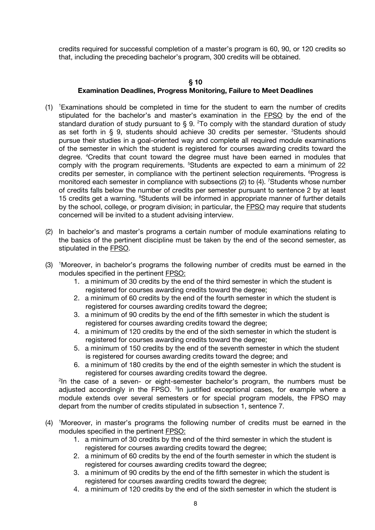credits required for successful completion of a master's program is 60, 90, or 120 credits so that, including the preceding bachelor's program, 300 credits will be obtained.

# **§ 10 Examination Deadlines, Progress Monitoring, Failure to Meet Deadlines**

- (1) <sup>1</sup> Examinations should be completed in time for the student to earn the number of credits stipulated for the bachelor's and master's examination in the FPSO by the end of the standard duration of study pursuant to  $\S$  9. <sup>2</sup>To comply with the standard duration of study as set forth in § 9, students should achieve 30 credits per semester. <sup>3</sup>Students should pursue their studies in a goal-oriented way and complete all required module examinations of the semester in which the student is registered for courses awarding credits toward the degree. <sup>4</sup> Credits that count toward the degree must have been earned in modules that comply with the program requirements. <sup>5</sup>Students are expected to earn a minimum of 22 credits per semester, in compliance with the pertinent selection requirements. <sup>6</sup>Progress is monitored each semester in compliance with subsections (2) to (4). <sup>7</sup>Students whose number of credits falls below the number of credits per semester pursuant to sentence 2 by at least 15 credits get a warning. <sup>8</sup>Students will be informed in appropriate manner of further details by the school, college, or program division; in particular, the FPSO may require that students concerned will be invited to a student advising interview.
- (2) In bachelor's and master's programs a certain number of module examinations relating to the basics of the pertinent discipline must be taken by the end of the second semester, as stipulated in the FPSO.
- (3) <sup>1</sup> Moreover, in bachelor's programs the following number of credits must be earned in the modules specified in the pertinent FPSO:
	- 1. a minimum of 30 credits by the end of the third semester in which the student is registered for courses awarding credits toward the degree;
	- 2. a minimum of 60 credits by the end of the fourth semester in which the student is registered for courses awarding credits toward the degree;
	- 3. a minimum of 90 credits by the end of the fifth semester in which the student is registered for courses awarding credits toward the degree;
	- 4. a minimum of 120 credits by the end of the sixth semester in which the student is registered for courses awarding credits toward the degree;
	- 5. a minimum of 150 credits by the end of the seventh semester in which the student is registered for courses awarding credits toward the degree; and
	- 6. a minimum of 180 credits by the end of the eighth semester in which the student is registered for courses awarding credits toward the degree.

<sup>2</sup>In the case of a seven- or eight-semester bachelor's program, the numbers must be adjusted accordingly in the FPSO. <sup>3</sup>In justified exceptional cases, for example where a module extends over several semesters or for special program models, the FPSO may depart from the number of credits stipulated in subsection 1, sentence 7.

- (4) <sup>1</sup> Moreover, in master's programs the following number of credits must be earned in the modules specified in the pertinent FPSO:
	- 1. a minimum of 30 credits by the end of the third semester in which the student is registered for courses awarding credits toward the degree;
	- 2. a minimum of 60 credits by the end of the fourth semester in which the student is registered for courses awarding credits toward the degree;
	- 3. a minimum of 90 credits by the end of the fifth semester in which the student is registered for courses awarding credits toward the degree;
	- 4. a minimum of 120 credits by the end of the sixth semester in which the student is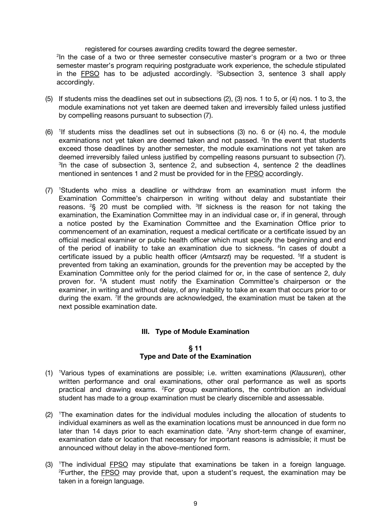registered for courses awarding credits toward the degree semester.

<sup>2</sup>In the case of a two or three semester consecutive master's program or a two or three semester master's program requiring postgraduate work experience, the schedule stipulated in the **FPSO** has to be adjusted accordingly. <sup>3</sup>Subsection 3, sentence 3 shall apply accordingly.

- (5) If students miss the deadlines set out in subsections (2), (3) nos. 1 to 5, or (4) nos. 1 to 3, the module examinations not yet taken are deemed taken and irreversibly failed unless justified by compelling reasons pursuant to subsection (7).
- $(6)$  <sup>1</sup>If students miss the deadlines set out in subsections  $(3)$  no. 6 or  $(4)$  no. 4, the module examinations not yet taken are deemed taken and not passed. <sup>2</sup>In the event that students exceed those deadlines by another semester, the module examinations not yet taken are deemed irreversibly failed unless justified by compelling reasons pursuant to subsection (7). <sup>3</sup>In the case of subsection 3, sentence 2, and subsection 4, sentence 2 the deadlines mentioned in sentences 1 and 2 must be provided for in the FPSO accordingly.
- (7) <sup>1</sup> Students who miss a deadline or withdraw from an examination must inform the Examination Committee's chairperson in writing without delay and substantiate their reasons.  ${}^{2}S$  20 must be complied with.  ${}^{3}If$  sickness is the reason for not taking the examination, the Examination Committee may in an individual case or, if in general, through a notice posted by the Examination Committee and the Examination Office prior to commencement of an examination, request a medical certificate or a certificate issued by an official medical examiner or public health officer which must specify the beginning and end of the period of inability to take an examination due to sickness. <sup>4</sup>In cases of doubt a certificate issued by a public health officer (Amtsarzt) may be requested. <sup>5</sup>If a student is prevented from taking an examination, grounds for the prevention may be accepted by the Examination Committee only for the period claimed for or, in the case of sentence 2, duly proven for. <sup>6</sup>A student must notify the Examination Committee's chairperson or the examiner, in writing and without delay, of any inability to take an exam that occurs prior to or during the exam. <sup>7</sup>If the grounds are acknowledged, the examination must be taken at the next possible examination date.

# **III. Type of Module Examination**

## **§ 11 Type and Date of the Examination**

- (1) <sup>1</sup> Various types of examinations are possible; i.e. written examinations (*Klausuren*), other written performance and oral examinations, other oral performance as well as sports practical and drawing exams. <sup>2</sup>For group examinations, the contribution an individual student has made to a group examination must be clearly discernible and assessable.
- (2) <sup>1</sup> The examination dates for the individual modules including the allocation of students to individual examiners as well as the examination locations must be announced in due form no later than 14 days prior to each examination date. <sup>2</sup>Any short-term change of examiner, examination date or location that necessary for important reasons is admissible; it must be announced without delay in the above-mentioned form.
- (3) <sup>1</sup>The individual **FPSO** may stipulate that examinations be taken in a foreign language. <sup>2</sup>Further, the **FPSO** may provide that, upon a student's request, the examination may be taken in a foreign language.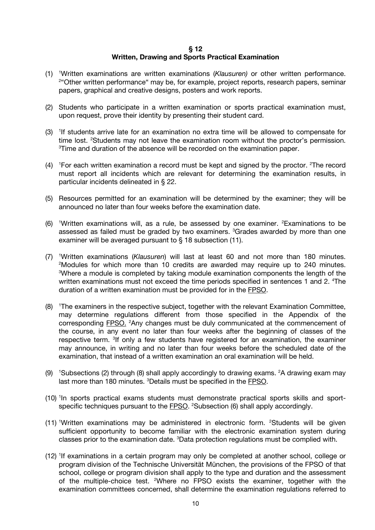#### **§ 12 Written, Drawing and Sports Practical Examination**

- (1) <sup>1</sup> Written examinations are written examinations (*Klausuren)* or other written performance. <sup>2</sup>"Other written performance" may be, for example, project reports, research papers, seminar papers, graphical and creative designs, posters and work reports.
- (2) Students who participate in a written examination or sports practical examination must, upon request, prove their identity by presenting their student card.
- $(3)$  <sup>1</sup>If students arrive late for an examination no extra time will be allowed to compensate for time lost. <sup>2</sup>Students may not leave the examination room without the proctor's permission. <sup>3</sup>Time and duration of the absence will be recorded on the examination paper.
- $(4)$ <sup>1</sup> For each written examination a record must be kept and signed by the proctor. <sup>2</sup>The record must report all incidents which are relevant for determining the examination results, in particular incidents delineated in § 22.
- (5) Resources permitted for an examination will be determined by the examiner; they will be announced no later than four weeks before the examination date.
- $(6)$  <sup>1</sup>Written examinations will, as a rule, be assessed by one examiner. <sup>2</sup>Examinations to be assessed as failed must be graded by two examiners. <sup>3</sup>Grades awarded by more than one examiner will be averaged pursuant to § 18 subsection (11).
- (7) <sup>1</sup> Written examinations (*Klausuren*) will last at least 60 and not more than 180 minutes. 2 Modules for which more than 10 credits are awarded may require up to 240 minutes. <sup>3</sup>Where a module is completed by taking module examination components the length of the written examinations must not exceed the time periods specified in sentences 1 and 2. <sup>4</sup>The duration of a written examination must be provided for in the FPSO.
- (8) <sup>1</sup> The examiners in the respective subject, together with the relevant Examination Committee, may determine regulations different from those specified in the Appendix of the corresponding **FPSO.** <sup>2</sup> Any changes must be duly communicated at the commencement of the course, in any event no later than four weeks after the beginning of classes of the respective term. <sup>3</sup>If only a few students have registered for an examination, the examiner may announce, in writing and no later than four weeks before the scheduled date of the examination, that instead of a written examination an oral examination will be held.
- (9) <sup>1</sup>Subsections (2) through (8) shall apply accordingly to drawing exams. <sup>2</sup>A drawing exam may last more than 180 minutes. <sup>3</sup>Details must be specified in the **FPSO**.
- (10) <sup>1</sup>In sports practical exams students must demonstrate practical sports skills and sportspecific techniques pursuant to the **FPSO**. <sup>2</sup>Subsection (6) shall apply accordingly.
- (11) Written examinations may be administered in electronic form. <sup>2</sup>Students will be given sufficient opportunity to become familiar with the electronic examination system during classes prior to the examination date. <sup>3</sup>Data protection regulations must be complied with.
- (12) <sup>1</sup> If examinations in a certain program may only be completed at another school, college or program division of the Technische Universität München, the provisions of the FPSO of that school, college or program division shall apply to the type and duration and the assessment of the multiple-choice test. <sup>2</sup>Where no FPSO exists the examiner, together with the examination committees concerned, shall determine the examination regulations referred to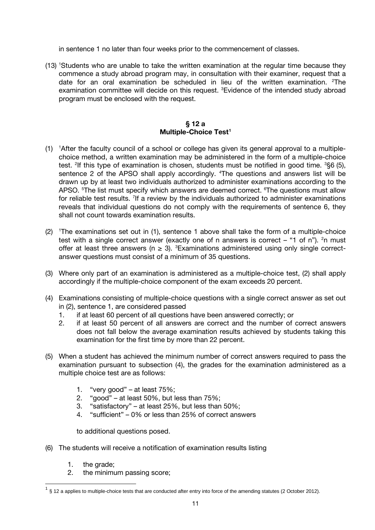in sentence 1 no later than four weeks prior to the commencement of classes.

(13) <sup>1</sup> Students who are unable to take the written examination at the regular time because they commence a study abroad program may, in consultation with their examiner, request that a date for an oral examination be scheduled in lieu of the written examination. <sup>2</sup>The examination committee will decide on this request. <sup>3</sup>Evidence of the intended study abroad program must be enclosed with the request.

# **§ 12 a Multiple-Choice Tes[t1](#page-10-0)**

- (1) <sup>1</sup> After the faculty council of a school or college has given its general approval to a multiplechoice method, a written examination may be administered in the form of a multiple-choice test. <sup>2</sup>If this type of examination is chosen, students must be notified in good time. <sup>3</sup>§6 (5), sentence 2 of the APSO shall apply accordingly. <sup>4</sup>The questions and answers list will be drawn up by at least two individuals authorized to administer examinations according to the APSO. <sup>5</sup>The list must specify which answers are deemed correct. <sup>6</sup>The questions must allow for reliable test results. <sup>7</sup>If a review by the individuals authorized to administer examinations reveals that individual questions do not comply with the requirements of sentence 6, they shall not count towards examination results.
- (2) <sup>1</sup> The examinations set out in (1), sentence 1 above shall take the form of a multiple-choice test with a single correct answer (exactly one of n answers is correct  $-$  "1 of n"). <sup>2</sup>n must offer at least three answers ( $n \geq 3$ ). <sup>3</sup>Examinations administered using only single correctanswer questions must consist of a minimum of 35 questions.
- (3) Where only part of an examination is administered as a multiple-choice test, (2) shall apply accordingly if the multiple-choice component of the exam exceeds 20 percent.
- (4) Examinations consisting of multiple-choice questions with a single correct answer as set out in (2), sentence 1, are considered passed
	- 1. if at least 60 percent of all questions have been answered correctly; or
	- 2. if at least 50 percent of all answers are correct and the number of correct answers does not fall below the average examination results achieved by students taking this examination for the first time by more than 22 percent.
- (5) When a student has achieved the minimum number of correct answers required to pass the examination pursuant to subsection (4), the grades for the examination administered as a multiple choice test are as follows:
	- 1. "very good" at least 75%;
	- 2. "good" at least 50%, but less than 75%;
	- 3. "satisfactory" at least 25%, but less than 50%;
	- 4. "sufficient" 0% or less than 25% of correct answers

to additional questions posed.

- (6) The students will receive a notification of examination results listing
	- 1. the grade;
	- 2. the minimum passing score;

<span id="page-10-0"></span> $1\,$  § 12 a applies to multiple-choice tests that are conducted after entry into force of the amending statutes (2 October 2012).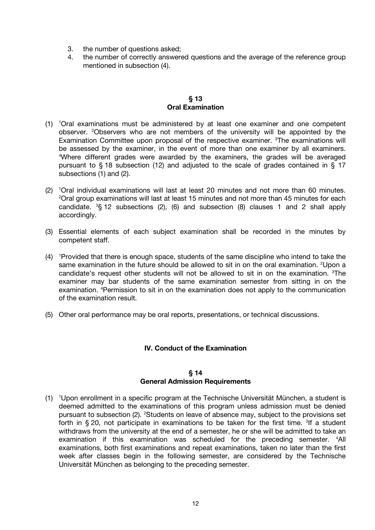- 3. the number of questions asked;
- 4. the number of correctly answered questions and the average of the reference group mentioned in subsection (4).

## **§ 13 Oral Examination**

- (1) <sup>1</sup> Oral examinations must be administered by at least one examiner and one competent observer. <sup>2</sup>Observers who are not members of the university will be appointed by the Examination Committee upon proposal of the respective examiner. <sup>3</sup>The examinations will be assessed by the examiner, in the event of more than one examiner by all examiners. 4 Where different grades were awarded by the examiners, the grades will be averaged pursuant to § 18 subsection (12) and adjusted to the scale of grades contained in § 17 subsections (1) and (2).
- (2) <sup>1</sup> Oral individual examinations will last at least 20 minutes and not more than 60 minutes.  $2$ Oral group examinations will last at least 15 minutes and not more than 45 minutes for each candidate.  ${}^{3}S$  12 subsections (2), (6) and subsection (8) clauses 1 and 2 shall apply accordingly.
- (3) Essential elements of each subject examination shall be recorded in the minutes by competent staff.
- $(4)$ <sup>1</sup> Provided that there is enough space, students of the same discipline who intend to take the same examination in the future should be allowed to sit in on the oral examination. <sup>2</sup>Upon a candidate's request other students will not be allowed to sit in on the examination. <sup>3</sup>The examiner may bar students of the same examination semester from sitting in on the examination. <sup>4</sup>Permission to sit in on the examination does not apply to the communication of the examination result.
- (5) Other oral performance may be oral reports, presentations, or technical discussions.

# **IV. Conduct of the Examination**

## **§ 14 General Admission Requirements**

(1) <sup>1</sup> Upon enrollment in a specific program at the Technische Universität München, a student is deemed admitted to the examinations of this program unless admission must be denied pursuant to subsection (2). <sup>2</sup>Students on leave of absence may, subject to the provisions set forth in  $\S 20$ , not participate in examinations to be taken for the first time. <sup>3</sup>If a student withdraws from the university at the end of a semester, he or she will be admitted to take an examination if this examination was scheduled for the preceding semester. <sup>4</sup>All examinations, both first examinations and repeat examinations, taken no later than the first week after classes begin in the following semester, are considered by the Technische Universität München as belonging to the preceding semester.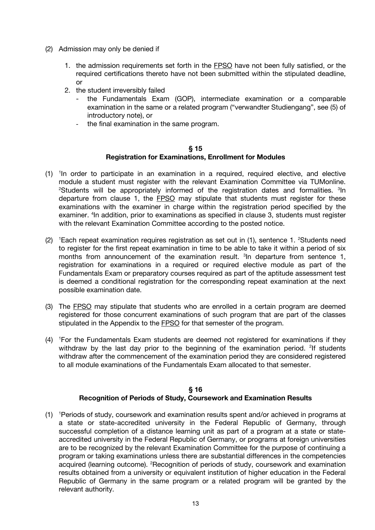- (2) Admission may only be denied if
	- 1. the admission requirements set forth in the **FPSO** have not been fully satisfied, or the required certifications thereto have not been submitted within the stipulated deadline, or
	- 2. the student irreversibly failed
		- the Fundamentals Exam (GOP), intermediate examination or a comparable examination in the same or a related program ("verwandter Studiengang", see (5) of introductory note), or
		- the final examination in the same program.

## **§ 15 Registration for Examinations, Enrollment for Modules**

- (1) <sup>1</sup> In order to participate in an examination in a required, required elective, and elective module a student must register with the relevant Examination Committee via TUMonline. 2 Students will be appropriately informed of the registration dates and formalities. 3In departure from clause 1, the FPSO may stipulate that students must register for these examinations with the examiner in charge within the registration period specified by the examiner. <sup>4</sup>In addition, prior to examinations as specified in clause 3, students must register with the relevant Examination Committee according to the posted notice.
- (2) <sup>1</sup>Each repeat examination requires registration as set out in (1), sentence 1. <sup>2</sup>Students need to register for the first repeat examination in time to be able to take it within a period of six months from announcement of the examination result. <sup>3</sup> In departure from sentence 1, registration for examinations in a required or required elective module as part of the Fundamentals Exam or preparatory courses required as part of the aptitude assessment test is deemed a conditional registration for the corresponding repeat examination at the next possible examination date.
- (3) The FPSO may stipulate that students who are enrolled in a certain program are deemed registered for those concurrent examinations of such program that are part of the classes stipulated in the Appendix to the FPSO for that semester of the program.
- (4) <sup>1</sup> For the Fundamentals Exam students are deemed not registered for examinations if they withdraw by the last day prior to the beginning of the examination period. <sup>2</sup>If students withdraw after the commencement of the examination period they are considered registered to all module examinations of the Fundamentals Exam allocated to that semester.

# **§ 16 Recognition of Periods of Study, Coursework and Examination Results**

(1) <sup>1</sup> Periods of study, coursework and examination results spent and/or achieved in programs at a state or state-accredited university in the Federal Republic of Germany, through successful completion of a distance learning unit as part of a program at a state or stateaccredited university in the Federal Republic of Germany, or programs at foreign universities are to be recognized by the relevant Examination Committee for the purpose of continuing a program or taking examinations unless there are substantial differences in the competencies acquired (learning outcome). <sup>2</sup>Recognition of periods of study, coursework and examination results obtained from a university or equivalent institution of higher education in the Federal Republic of Germany in the same program or a related program will be granted by the relevant authority.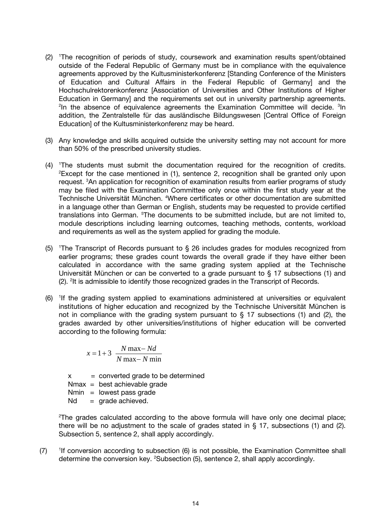- (2) <sup>1</sup> The recognition of periods of study, coursework and examination results spent/obtained outside of the Federal Republic of Germany must be in compliance with the equivalence agreements approved by the Kultusministerkonferenz [Standing Conference of the Ministers of Education and Cultural Affairs in the Federal Republic of Germany] and the Hochschulrektorenkonferenz [Association of Universities and Other Institutions of Higher Education in Germany] and the requirements set out in university partnership agreements. <sup>2</sup>In the absence of equivalence agreements the Examination Committee will decide. <sup>3</sup>In addition, the Zentralstelle für das ausländische Bildungswesen [Central Office of Foreign Education] of the Kultusministerkonferenz may be heard.
- (3) Any knowledge and skills acquired outside the university setting may not account for more than 50% of the prescribed university studies.
- (4) <sup>1</sup> The students must submit the documentation required for the recognition of credits.  $2$ Except for the case mentioned in (1), sentence 2, recognition shall be granted only upon request. <sup>3</sup>An application for recognition of examination results from earlier programs of study may be filed with the Examination Committee only once within the first study year at the Technische Universität München. <sup>4</sup>Where certificates or other documentation are submitted in a language other than German or English, students may be requested to provide certified translations into German. <sup>5</sup>The documents to be submitted include, but are not limited to, module descriptions including learning outcomes, teaching methods, contents, workload and requirements as well as the system applied for grading the module.
- (5) <sup>1</sup> The Transcript of Records pursuant to § 26 includes grades for modules recognized from earlier programs; these grades count towards the overall grade if they have either been calculated in accordance with the same grading system applied at the Technische Universität München or can be converted to a grade pursuant to § 17 subsections (1) and (2). <sup>2</sup>It is admissible to identify those recognized grades in the Transcript of Records.
- (6) <sup>1</sup> If the grading system applied to examinations administered at universities or equivalent institutions of higher education and recognized by the Technische Universität München is not in compliance with the grading system pursuant to  $\S$  17 subsections (1) and (2), the grades awarded by other universities/institutions of higher education will be converted according to the following formula:

$$
x = 1 + 3 \frac{N \max - Nd}{N \max - N \min}
$$

 $x =$  converted grade to be determined Nmax = best achievable grade  $Nmin =$  lowest pass grade  $Nd = grade achieved.$ 

2 The grades calculated according to the above formula will have only one decimal place; there will be no adjustment to the scale of grades stated in  $\S$  17, subsections (1) and (2). Subsection 5, sentence 2, shall apply accordingly.

 $(7)$ <sup>1</sup>If conversion according to subsection (6) is not possible, the Examination Committee shall determine the conversion key. <sup>2</sup>Subsection (5), sentence 2, shall apply accordingly.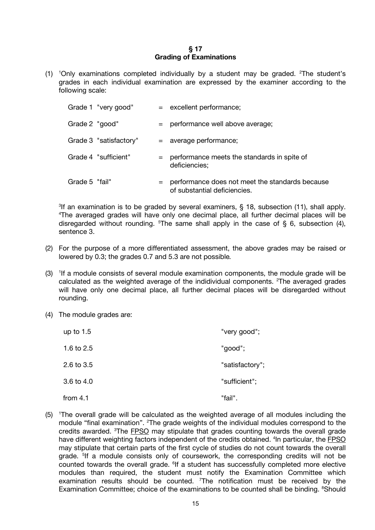## **§ 17 Grading of Examinations**

(1) <sup>1</sup> Only examinations completed individually by a student may be graded. 2 The student's grades in each individual examination are expressed by the examiner according to the following scale:

|                | Grade 1 "very good"    |     | = excellent performance;                                                        |
|----------------|------------------------|-----|---------------------------------------------------------------------------------|
| Grade 2 "good" |                        |     | $=$ performance well above average;                                             |
|                | Grade 3 "satisfactory" |     | = average performance;                                                          |
|                | Grade 4 "sufficient"   | $=$ | performance meets the standards in spite of<br>deficiencies;                    |
| Grade 5 "fail" |                        | $=$ | performance does not meet the standards because<br>of substantial deficiencies. |

<sup>3</sup>If an examination is to be graded by several examiners,  $\S$  18, subsection (11), shall apply. 4 The averaged grades will have only one decimal place, all further decimal places will be disregarded without rounding.  $5$ The same shall apply in the case of § 6, subsection (4), sentence 3.

- (2) For the purpose of a more differentiated assessment, the above grades may be raised or lowered by 0.3; the grades 0.7 and 5.3 are not possible*.*
- (3) <sup>1</sup>If a module consists of several module examination components, the module grade will be calculated as the weighted average of the indidividual components.  $2$ The averaged grades will have only one decimal place, all further decimal places will be disregarded without rounding.
- (4) The module grades are:

| up to $1.5$  | "very good";    |
|--------------|-----------------|
| 1.6 to 2.5   | "good";         |
| 2.6 to $3.5$ | "satisfactory"; |
| 3.6 to $4.0$ | "sufficient";   |
| from $4.1$   | "fail".         |

(5) <sup>1</sup> The overall grade will be calculated as the weighted average of all modules including the module "final examination". <sup>2</sup>The grade weights of the individual modules correspond to the credits awarded. <sup>3</sup>The **FPSO** may stipulate that grades counting towards the overall grade have different weighting factors independent of the credits obtained. <sup>4</sup>In particular, the **FPSO** may stipulate that certain parts of the first cycle of studies do not count towards the overall grade. <sup>5</sup>If a module consists only of coursework, the corresponding credits will not be counted towards the overall grade. <sup>6</sup>If a student has successfully completed more elective modules than required, the student must notify the Examination Committee which examination results should be counted. <sup>7</sup>The notification must be received by the Examination Committee; choice of the examinations to be counted shall be binding. <sup>8</sup>Should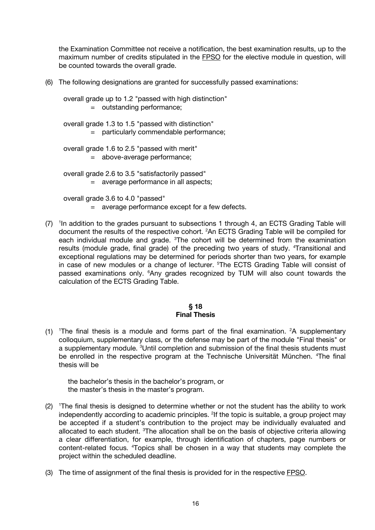the Examination Committee not receive a notification, the best examination results, up to the maximum number of credits stipulated in the FPSO for the elective module in question, will be counted towards the overall grade.

(6) The following designations are granted for successfully passed examinations:

overall grade up to 1.2 "passed with high distinction" = outstanding performance;

overall grade 1.3 to 1.5 "passed with distinction"

= particularly commendable performance;

overall grade 1.6 to 2.5 "passed with merit"

= above-average performance;

overall grade 2.6 to 3.5 "satisfactorily passed"

= average performance in all aspects;

overall grade 3.6 to 4.0 "passed"

- = average performance except for a few defects.
- (7) <sup>1</sup>In addition to the grades pursuant to subsections 1 through 4, an ECTS Grading Table will document the results of the respective cohort. 2 An ECTS Grading Table will be compiled for each individual module and grade. <sup>3</sup>The cohort will be determined from the examination results (module grade, final grade) of the preceding two years of study. <sup>4</sup>Transitional and exceptional regulations may be determined for periods shorter than two years, for example in case of new modules or a change of lecturer. <sup>5</sup>The ECTS Grading Table will consist of passed examinations only. <sup>6</sup>Any grades recognized by TUM will also count towards the calculation of the ECTS Grading Table.

## **§ 18 Final Thesis**

(1) <sup>1</sup>The final thesis is a module and forms part of the final examination. <sup>2</sup>A supplementary colloquium, supplementary class, or the defense may be part of the module "Final thesis" or a supplementary module. <sup>3</sup>Until completion and submission of the final thesis students must be enrolled in the respective program at the Technische Universität München. <sup>4</sup>The final thesis will be

the bachelor's thesis in the bachelor's program, or the master's thesis in the master's program.

- (2) <sup>1</sup>The final thesis is designed to determine whether or not the student has the ability to work independently according to academic principles. <sup>2</sup>If the topic is suitable, a group project may be accepted if a student's contribution to the project may be individually evaluated and allocated to each student. <sup>3</sup>The allocation shall be on the basis of objective criteria allowing a clear differentiation, for example, through identification of chapters, page numbers or content-related focus. 4 Topics shall be chosen in a way that students may complete the project within the scheduled deadline.
- (3) The time of assignment of the final thesis is provided for in the respective FPSO.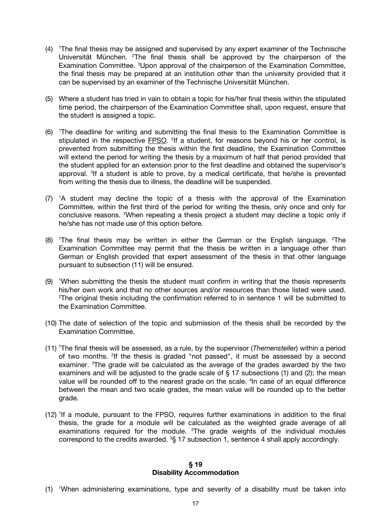- (4) <sup>1</sup> The final thesis may be assigned and supervised by any expert examiner of the Technische Universität München. <sup>2</sup>The final thesis shall be approved by the chairperson of the Examination Committee. <sup>3</sup>Upon approval of the chairperson of the Examination Committee, the final thesis may be prepared at an institution other than the university provided that it can be supervised by an examiner of the Technische Universität München.
- (5) Where a student has tried in vain to obtain a topic for his/her final thesis within the stipulated time period, the chairperson of the Examination Committee shall, upon request, ensure that the student is assigned a topic.
- (6) <sup>1</sup> The deadline for writing and submitting the final thesis to the Examination Committee is stipulated in the respective **FPSO**. <sup>2</sup>If a student, for reasons beyond his or her control, is prevented from submitting the thesis within the first deadline, the Examination Committee will extend the period for writing the thesis by a maximum of half that period provided that the student applied for an extension prior to the first deadline and obtained the supervisor's approval. <sup>3</sup>If a student is able to prove, by a medical certificate, that he/she is prevented from writing the thesis due to illness, the deadline will be suspended.
- $(7)$  <sup>1</sup>A student may decline the topic of a thesis with the approval of the Examination Committee, within the first third of the period for writing the thesis, only once and only for conclusive reasons. <sup>2</sup>When repeating a thesis project a student may decline a topic only if he/she has not made use of this option before.
- $(8)$  <sup>1</sup>The final thesis may be written in either the German or the English language. <sup>2</sup>The Examination Committee may permit that the thesis be written in a language other than German or English provided that expert assessment of the thesis in that other language pursuant to subsection (11) will be ensured.
- $(9)$  <sup>1</sup>When submitting the thesis the student must confirm in writing that the thesis represents his/her own work and that no other sources and/or resources than those listed were used. <sup>2</sup>The original thesis including the confirmation referred to in sentence 1 will be submitted to the Examination Committee.
- (10) The date of selection of the topic and submission of the thesis shall be recorded by the Examination Committee.
- (11) <sup>1</sup> The final thesis will be assessed, as a rule, by the supervisor (*Themensteller*) within a period of two months. <sup>2</sup>If the thesis is graded "not passed", it must be assessed by a second examiner. <sup>3</sup>The grade will be calculated as the average of the grades awarded by the two examiners and will be adjusted to the grade scale of § 17 subsections (1) and (2); the mean value will be rounded off to the nearest grade on the scale. <sup>4</sup>In case of an equal difference between the mean and two scale grades, the mean value will be rounded up to the better grade.
- (12) <sup>1</sup> If a module, pursuant to the FPSO, requires further examinations in addition to the final thesis, the grade for a module will be calculated as the weighted grade average of all examinations required for the module.  $2$ The grade weights of the individual modules correspond to the credits awarded.  ${}^{3}S$  17 subsection 1, sentence 4 shall apply accordingly.

#### **§ 19 Disability Accommodation**

(1) <sup>1</sup> When administering examinations, type and severity of a disability must be taken into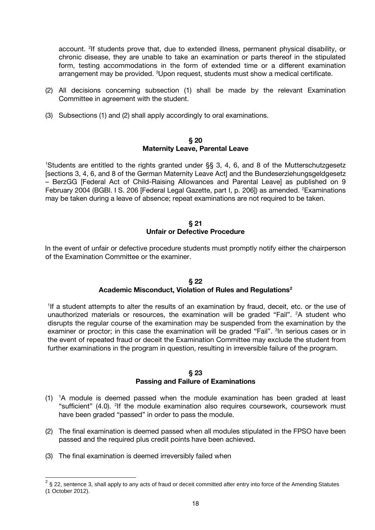account. <sup>2</sup>If students prove that, due to extended illness, permanent physical disability, or chronic disease, they are unable to take an examination or parts thereof in the stipulated form, testing accommodations in the form of extended time or a different examination arrangement may be provided. <sup>3</sup>Upon request, students must show a medical certificate.

- (2) All decisions concerning subsection (1) shall be made by the relevant Examination Committee in agreement with the student.
- (3) Subsections (1) and (2) shall apply accordingly to oral examinations.

#### **§ 20 Maternity Leave, Parental Leave**

1 Students are entitled to the rights granted under §§ 3, 4, 6, and 8 of the Mutterschutzgesetz [sections 3, 4, 6, and 8 of the German Maternity Leave Act] and the Bundeserziehungsgeldgesetz – BerzGG [Federal Act of Child-Raising Allowances and Parental Leave] as published on 9 February 2004 (BGBI. I S. 206 [Federal Legal Gazette, part I, p. 206]) as amended. <sup>2</sup>Examinations may be taken during a leave of absence; repeat examinations are not required to be taken.

#### **§ 21 Unfair or Defective Procedure**

In the event of unfair or defective procedure students must promptly notify either the chairperson of the Examination Committee or the examiner.

## **§ 22 Academic Misconduct, Violation of Rules and Regulation[s2](#page-17-0)**

<sup>1</sup>If a student attempts to alter the results of an examination by fraud, deceit, etc. or the use of unauthorized materials or resources, the examination will be graded "Fail". <sup>2</sup>A student who disrupts the regular course of the examination may be suspended from the examination by the examiner or proctor; in this case the examination will be graded "Fail". <sup>3</sup> In serious cases or in the event of repeated fraud or deceit the Examination Committee may exclude the student from further examinations in the program in question, resulting in irreversible failure of the program.

#### **§ 23**

# **Passing and Failure of Examinations**

- (1) <sup>1</sup> A module is deemed passed when the module examination has been graded at least "sufficient" (4.0). <sup>2</sup>If the module examination also requires coursework, coursework must have been graded "passed" in order to pass the module.
- (2) The final examination is deemed passed when all modules stipulated in the FPSO have been passed and the required plus credit points have been achieved.
- (3) The final examination is deemed irreversibly failed when

<span id="page-17-0"></span> $2\,$  § 22, sentence 3, shall apply to any acts of fraud or deceit committed after entry into force of the Amending Statutes (1 October 2012).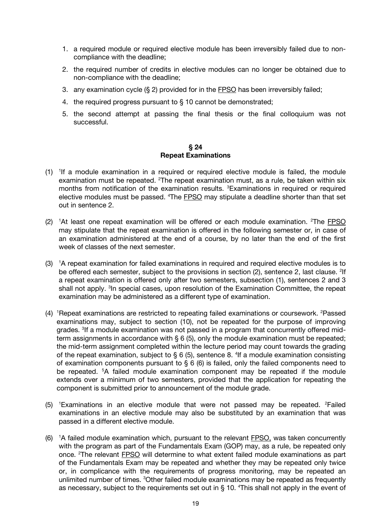- 1. a required module or required elective module has been irreversibly failed due to noncompliance with the deadline;
- 2. the required number of credits in elective modules can no longer be obtained due to non-compliance with the deadline;
- 3. any examination cycle (§ 2) provided for in the FPSO has been irreversibly failed;
- 4. the required progress pursuant to § 10 cannot be demonstrated;
- 5. the second attempt at passing the final thesis or the final colloquium was not successful.

## **§ 24 Repeat Examinations**

- (1) <sup>1</sup> If a module examination in a required or required elective module is failed, the module examination must be repeated. <sup>2</sup>The repeat examination must, as a rule, be taken within six months from notification of the examination results. <sup>3</sup>Examinations in required or required elective modules must be passed. <sup>4</sup>The **FPSO** may stipulate a deadline shorter than that set out in sentence 2.
- (2) <sup>1</sup>At least one repeat examination will be offered or each module examination. <sup>2</sup>The **FPSO** may stipulate that the repeat examination is offered in the following semester or, in case of an examination administered at the end of a course, by no later than the end of the first week of classes of the next semester.
- $(3)$ <sup>1</sup>A repeat examination for failed examinations in required and required elective modules is to be offered each semester, subject to the provisions in section (2), sentence 2, last clause. <sup>2</sup>lf a repeat examination is offered only after two semesters, subsection (1), sentences 2 and 3 shall not apply. <sup>3</sup> In special cases, upon resolution of the Examination Committee, the repeat examination may be administered as a different type of examination.
- (4) <sup>1</sup>Repeat examinations are restricted to repeating failed examinations or coursework. <sup>2</sup>Passed examinations may, subject to section (10), not be repeated for the purpose of improving grades. <sup>3</sup>If a module examination was not passed in a program that concurrently offered midterm assignments in accordance with § 6 (5), only the module examination must be repeated; the mid-term assignment completed within the lecture period may count towards the grading of the repeat examination, subject to  $\S 6$  (5), sentence 8. <sup>4</sup>If a module examination consisting of examination components pursuant to § 6 (6) is failed, only the failed components need to be repeated. <sup>5</sup>A failed module examination component may be repeated if the module extends over a minimum of two semesters, provided that the application for repeating the component is submitted prior to announcement of the module grade.
- (5) <sup>1</sup>Examinations in an elective module that were not passed may be repeated. <sup>2</sup>Failed examinations in an elective module may also be substituted by an examination that was passed in a different elective module.
- (6) <sup>1</sup>A failed module examination which, pursuant to the relevant FPSO, was taken concurrently with the program as part of the Fundamentals Exam (GOP) may, as a rule, be repeated only once. <sup>2</sup>The relevant **FPSO** will determine to what extent failed module examinations as part of the Fundamentals Exam may be repeated and whether they may be repeated only twice or, in complicance with the requirements of progress monitoring, may be repeated an unlimited number of times. <sup>3</sup>Other failed module examinations may be repeated as frequently as necessary, subject to the requirements set out in  $\S$  10.  $\textsuperscript{4}$ This shall not apply in the event of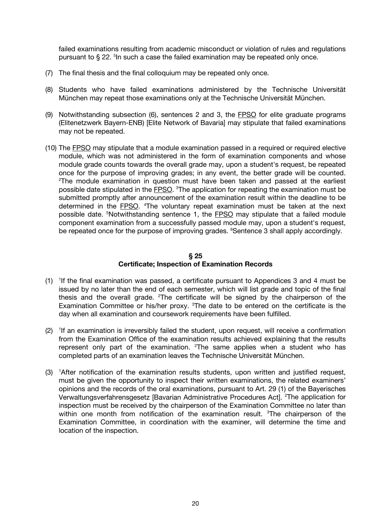failed examinations resulting from academic misconduct or violation of rules and regulations pursuant to  $\S 22$ . <sup>5</sup>ln such a case the failed examination may be repeated only once.

- (7) The final thesis and the final colloquium may be repeated only once.
- (8) Students who have failed examinations administered by the Technische Universität München may repeat those examinations only at the Technische Universität München.
- (9) Notwithstanding subsection (6), sentences 2 and 3, the FPSO for elite graduate programs (Elitenetzwerk Bayern-ENB) [Elite Network of Bavaria] may stipulate that failed examinations may not be repeated.
- (10) The FPSO may stipulate that a module examination passed in a required or required elective module, which was not administered in the form of examination components and whose module grade counts towards the overall grade may, upon a student's request, be repeated once for the purpose of improving grades; in any event, the better grade will be counted. 2 The module examination in question must have been taken and passed at the earliest possible date stipulated in the **FPSO**. <sup>3</sup>The application for repeating the examination must be submitted promptly after announcement of the examination result within the deadline to be determined in the **FPSO**. <sup>4</sup>The voluntary repeat examination must be taken at the next possible date. <sup>5</sup>Notwithstanding sentence 1, the **FPSO** may stipulate that a failed module component examination from a successfully passed module may, upon a student's request, be repeated once for the purpose of improving grades. <sup>6</sup>Sentence 3 shall apply accordingly.

## **§ 25 Certificate; Inspection of Examination Records**

- $(1)$  <sup>1</sup>If the final examination was passed, a certificate pursuant to Appendices 3 and 4 must be issued by no later than the end of each semester, which will list grade and topic of the final thesis and the overall grade.  $2$ The certificate will be signed by the chairperson of the Examination Committee or his/her proxy.  $3$ The date to be entered on the certificate is the day when all examination and coursework requirements have been fulfilled.
- $(2)$ <sup>1</sup>If an examination is irreversibly failed the student, upon request, will receive a confirmation from the Examination Office of the examination results achieved explaining that the results represent only part of the examination.  $2$ The same applies when a student who has completed parts of an examination leaves the Technische Universität München.
- (3) <sup>1</sup> After notification of the examination results students, upon written and justified request, must be given the opportunity to inspect their written examinations, the related examiners' opinions and the records of the oral examinations, pursuant to Art. 29 (1) of the Bayerisches Verwaltungsverfahrensgesetz [Bavarian Administrative Procedures Act]. <sup>2</sup>The application for inspection must be received by the chairperson of the Examination Committee no later than within one month from notification of the examination result. <sup>3</sup>The chairperson of the Examination Committee, in coordination with the examiner, will determine the time and location of the inspection.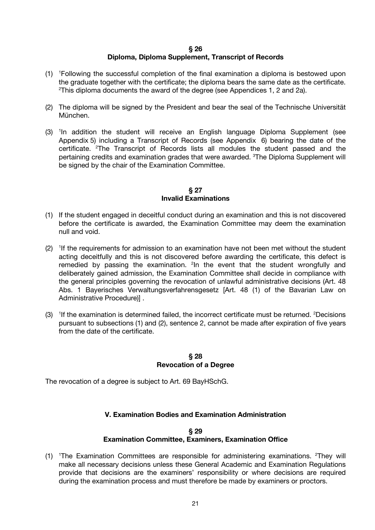#### **§ 26 Diploma, Diploma Supplement, Transcript of Records**

- (1) <sup>1</sup> Following the successful completion of the final examination a diploma is bestowed upon the graduate together with the certificate; the diploma bears the same date as the certificate. 2 <sup>2</sup>This diploma documents the award of the degree (see Appendices 1, 2 and 2a).
- (2) The diploma will be signed by the President and bear the seal of the Technische Universität München.
- (3) <sup>1</sup> In addition the student will receive an English language Diploma Supplement (see Appendix 5) including a Transcript of Records (see Appendix 6) bearing the date of the certificate. <sup>2</sup>The Transcript of Records lists all modules the student passed and the pertaining credits and examination grades that were awarded. <sup>3</sup>The Diploma Supplement will be signed by the chair of the Examination Committee.

#### **§ 27 Invalid Examinations**

- (1) If the student engaged in deceitful conduct during an examination and this is not discovered before the certificate is awarded, the Examination Committee may deem the examination null and void.
- $(2)$  <sup>1</sup>If the requirements for admission to an examination have not been met without the student acting deceitfully and this is not discovered before awarding the certificate, this defect is remedied by passing the examination. <sup>2</sup> In the event that the student wrongfully and deliberately gained admission, the Examination Committee shall decide in compliance with the general principles governing the revocation of unlawful administrative decisions (Art. 48 Abs. 1 Bayerisches Verwaltungsverfahrensgesetz [Art. 48 (1) of the Bavarian Law on Administrative Procedure)] .
- $(3)$ <sup>1</sup>If the examination is determined failed, the incorrect certificate must be returned. <sup>2</sup>Decisions pursuant to subsections (1) and (2), sentence 2, cannot be made after expiration of five years from the date of the certificate.

## **§ 28 Revocation of a Degree**

The revocation of a degree is subject to Art. 69 BayHSchG.

# **V. Examination Bodies and Examination Administration**

# **§ 29 Examination Committee, Examiners, Examination Office**

(1) <sup>1</sup>The Examination Committees are responsible for administering examinations. <sup>2</sup>They will make all necessary decisions unless these General Academic and Examination Regulations provide that decisions are the examiners' responsibility or where decisions are required during the examination process and must therefore be made by examiners or proctors.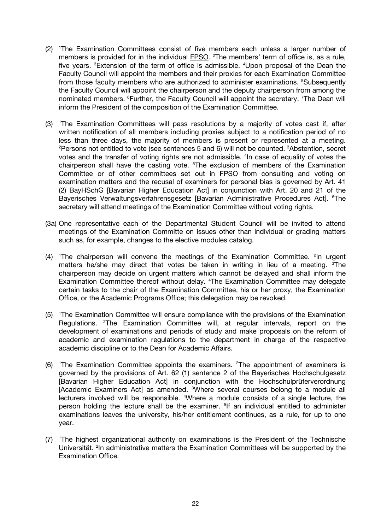- (2) <sup>1</sup> The Examination Committees consist of five members each unless a larger number of members is provided for in the individual **FPSO**. <sup>2</sup>The members' term of office is, as a rule, five years. <sup>3</sup>Extension of the term of office is admissible. <sup>4</sup>Upon proposal of the Dean the Faculty Council will appoint the members and their proxies for each Examination Committee from those faculty members who are authorized to administer examinations. <sup>5</sup>Subsequently the Faculty Council will appoint the chairperson and the deputy chairperson from among the nominated members. <sup>6</sup>Further, the Faculty Council will appoint the secretary. <sup>7</sup>The Dean will inform the President of the composition of the Examination Committee.
- (3) <sup>1</sup> The Examination Committees will pass resolutions by a majority of votes cast if, after written notification of all members including proxies subject to a notification period of no less than three days, the majority of members is present or represented at a meeting. <sup>2</sup>Persons not entitled to vote (see sentences 5 and 6) will not be counted. <sup>3</sup>Abstention, secret votes and the transfer of voting rights are not admissible. <sup>4</sup>In case of equality of votes the chairperson shall have the casting vote. <sup>5</sup>The exclusion of members of the Examination Committee or of other committees set out in FPSO from consulting and voting on examination matters and the recusal of examiners for personal bias is governed by Art. 41 (2) BayHSchG [Bavarian Higher Education Act] in conjunction with Art. 20 and 21 of the Bayerisches Verwaltungsverfahrensgesetz [Bavarian Administrative Procedures Act]. <sup>6</sup>The secretary will attend meetings of the Examination Committee without voting rights.
- (3a) One representative each of the Departmental Student Council will be invited to attend meetings of the Examination Committe on issues other than individual or grading matters such as, for example, changes to the elective modules catalog.
- $(4)$  <sup>1</sup>The chairperson will convene the meetings of the Examination Committee. <sup>2</sup>In urgent matters he/she may direct that votes be taken in writing in lieu of a meeting. <sup>3</sup>The chairperson may decide on urgent matters which cannot be delayed and shall inform the Examination Committee thereof without delay. <sup>4</sup>The Examination Committee may delegate certain tasks to the chair of the Examination Committee, his or her proxy, the Examination Office, or the Academic Programs Office; this delegation may be revoked.
- (5) <sup>1</sup> The Examination Committee will ensure compliance with the provisions of the Examination Regulations. <sup>2</sup>The Examination Committee will, at regular intervals, report on the development of examinations and periods of study and make proposals on the reform of academic and examination regulations to the department in charge of the respective academic discipline or to the Dean for Academic Affairs.
- $(6)$  <sup>1</sup>The Examination Committee appoints the examiners. <sup>2</sup>The appointment of examiners is governed by the provisions of Art. 62 (1) sentence 2 of the Bayerisches Hochschulgesetz [Bavarian Higher Education Act] in conjunction with the Hochschulprüferverordnung [Academic Examiners Act] as amended. <sup>3</sup>Where several courses belong to a module all lecturers involved will be responsible. <sup>4</sup>Where a module consists of a single lecture, the person holding the lecture shall be the examiner. <sup>5</sup>If an individual entitled to administer examinations leaves the university, his/her entitlement continues, as a rule, for up to one year.
- (7) <sup>1</sup> The highest organizational authority on examinations is the President of the Technische Universität. <sup>2</sup>In administrative matters the Examination Committees will be supported by the Examination Office.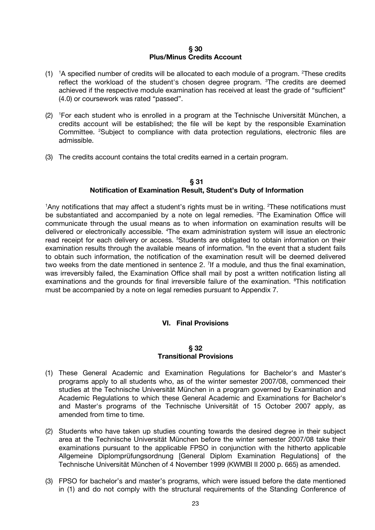#### **§ 30 Plus/Minus Credits Account**

- $(1)$ <sup>1</sup>A specified number of credits will be allocated to each module of a program. <sup>2</sup>These credits reflect the workload of the student's chosen degree program. <sup>3</sup>The credits are deemed achieved if the respective module examination has received at least the grade of "sufficient" (4.0) or coursework was rated "passed".
- (2) <sup>1</sup> For each student who is enrolled in a program at the Technische Universität München, a credits account will be established; the file will be kept by the responsible Examination Committee. <sup>2</sup>Subject to compliance with data protection regulations, electronic files are admissible.
- (3) The credits account contains the total credits earned in a certain program.

#### **§ 31 Notification of Examination Result, Student's Duty of Information**

<sup>1</sup>Any notifications that may affect a student's rights must be in writing. <sup>2</sup>These notifications must be substantiated and accompanied by a note on legal remedies. <sup>3</sup>The Examination Office will communicate through the usual means as to when information on examination results will be delivered or electronically accessible. <sup>4</sup>The exam administration system will issue an electronic read receipt for each delivery or access. <sup>5</sup>Students are obligated to obtain information on their examination results through the available means of information. <sup>6</sup> In the event that a student fails to obtain such information, the notification of the examination result will be deemed delivered two weeks from the date mentioned in sentence 2. <sup>7</sup> If a module, and thus the final examination, was irreversibly failed, the Examination Office shall mail by post a written notification listing all examinations and the grounds for final irreversible failure of the examination. <sup>8</sup>This notification must be accompanied by a note on legal remedies pursuant to Appendix 7.

# **VI. Final Provisions**

#### **§ 32 Transitional Provisions**

- (1) These General Academic and Examination Regulations for Bachelor's and Master's programs apply to all students who, as of the winter semester 2007/08, commenced their studies at the Technische Universität München in a program governed by Examination and Academic Regulations to which these General Academic and Examinations for Bachelor's and Master's programs of the Technische Universität of 15 October 2007 apply, as amended from time to time.
- (2) Students who have taken up studies counting towards the desired degree in their subject area at the Technische Universität München before the winter semester 2007/08 take their examinations pursuant to the applicable FPSO in conjunction with the hitherto applicable Allgemeine Diplomprüfungsordnung [General Diplom Examination Regulations] of the Technische Universität München of 4 November 1999 (KWMBl II 2000 p. 665) as amended.
- (3) FPSO for bachelor's and master's programs, which were issued before the date mentioned in (1) and do not comply with the structural requirements of the Standing Conference of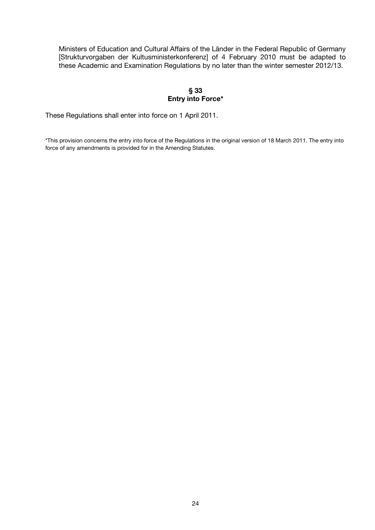Ministers of Education and Cultural Affairs of the Länder in the Federal Republic of Germany [Strukturvorgaben der Kultusministerkonferenz] of 4 February 2010 must be adapted to these Academic and Examination Regulations by no later than the winter semester 2012/13.

# **§ 33 Entry into Force\***

These Regulations shall enter into force on 1 April 2011.

\*This provision concerns the entry into force of the Regulations in the original version of 18 March 2011. The entry into force of any amendments is provided for in the Amending Statutes.